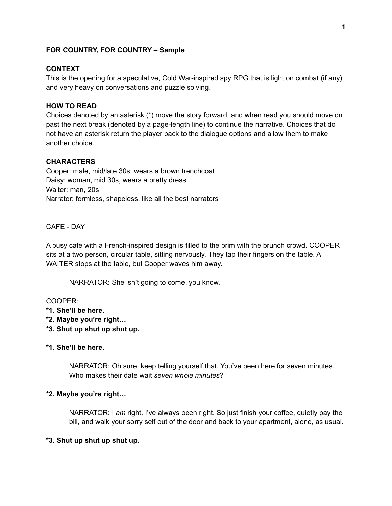## **FOR COUNTRY, FOR COUNTRY – Sample**

## **CONTEXT**

This is the opening for a speculative, Cold War-inspired spy RPG that is light on combat (if any) and very heavy on conversations and puzzle solving.

# **HOW TO READ**

Choices denoted by an asterisk (\*) move the story forward, and when read you should move on past the next break (denoted by a page-length line) to continue the narrative. Choices that do not have an asterisk return the player back to the dialogue options and allow them to make another choice.

## **CHARACTERS**

Cooper: male, mid/late 30s, wears a brown trenchcoat Daisy: woman, mid 30s, wears a pretty dress Waiter: man, 20s Narrator: formless, shapeless, like all the best narrators

CAFE - DAY

A busy cafe with a French-inspired design is filled to the brim with the brunch crowd. COOPER sits at a two person, circular table, sitting nervously. They tap their fingers on the table. A WAITER stops at the table, but Cooper waves him away.

NARRATOR: She isn't going to come, you know.

## COOPER:

- **\*1. She'll be here.**
- **\*2. Maybe you're right…**
- **\*3. Shut up shut up shut up.**

## **\*1. She'll be here.**

NARRATOR: Oh sure, keep telling yourself that. You've been here for seven minutes. Who makes their date wait *seven whole minutes*?

## **\*2. Maybe you're right…**

NARRATOR: I *am* right. I've always been right. So just finish your coffee, quietly pay the bill, and walk your sorry self out of the door and back to your apartment, alone, as usual.

## **\*3. Shut up shut up shut up.**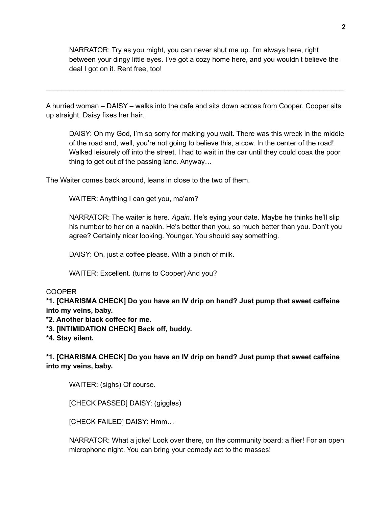NARRATOR: Try as you might, you can never shut me up. I'm always here, right between your dingy little eyes. I've got a cozy home here, and you wouldn't believe the deal I got on it. Rent free, too!

A hurried woman – DAISY – walks into the cafe and sits down across from Cooper. Cooper sits up straight. Daisy fixes her hair.

\_\_\_\_\_\_\_\_\_\_\_\_\_\_\_\_\_\_\_\_\_\_\_\_\_\_\_\_\_\_\_\_\_\_\_\_\_\_\_\_\_\_\_\_\_\_\_\_\_\_\_\_\_\_\_\_\_\_\_\_\_\_\_\_\_\_\_\_\_\_\_\_\_\_\_\_

DAISY: Oh my God, I'm so sorry for making you wait. There was this wreck in the middle of the road and, well, you're not going to believe this, a cow. In the center of the road! Walked leisurely off into the street. I had to wait in the car until they could coax the poor thing to get out of the passing lane. Anyway…

The Waiter comes back around, leans in close to the two of them.

WAITER: Anything I can get you, ma'am?

NARRATOR: The waiter is here. *Again*. He's eying your date. Maybe he thinks he'll slip his number to her on a napkin. He's better than you, so much better than you. Don't you agree? Certainly nicer looking. Younger. You should say something.

DAISY: Oh, just a coffee please. With a pinch of milk.

WAITER: Excellent. (turns to Cooper) And you?

## COOPER

**\*1. [CHARISMA CHECK] Do you have an IV drip on hand? Just pump that sweet caffeine into my veins, baby.**

**\*2. Another black coffee for me.**

**\*3. [INTIMIDATION CHECK] Back off, buddy.**

**\*4. Stay silent.**

**\*1. [CHARISMA CHECK] Do you have an IV drip on hand? Just pump that sweet caffeine into my veins, baby.**

WAITER: (sighs) Of course.

[CHECK PASSED] DAISY: (giggles)

[CHECK FAILED] DAISY: Hmm…

NARRATOR: What a joke! Look over there, on the community board: a flier! For an open microphone night. You can bring your comedy act to the masses!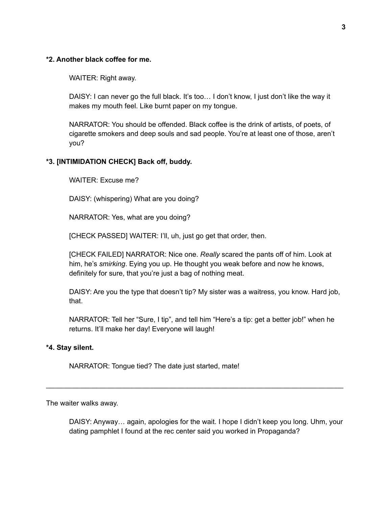## **\*2. Another black coffee for me.**

WAITER: Right away.

DAISY: I can never go the full black. It's too... I don't know, I just don't like the way it makes my mouth feel. Like burnt paper on my tongue.

NARRATOR: You should be offended. Black coffee is the drink of artists, of poets, of cigarette smokers and deep souls and sad people. You're at least one of those, aren't you?

## **\*3. [INTIMIDATION CHECK] Back off, buddy.**

WAITER: Excuse me?

DAISY: (whispering) What are you doing?

NARRATOR: Yes, what are you doing?

[CHECK PASSED] WAITER: I'll, uh, just go get that order, then.

[CHECK FAILED] NARRATOR: Nice one. *Really* scared the pants off of him. Look at him, he's *smirking*. Eying you up. He thought you weak before and now he knows, definitely for sure, that you're just a bag of nothing meat.

DAISY: Are you the type that doesn't tip? My sister was a waitress, you know. Hard job, that.

NARRATOR: Tell her "Sure, I tip", and tell him "Here's a tip: get a better job!" when he returns. It'll make her day! Everyone will laugh!

\_\_\_\_\_\_\_\_\_\_\_\_\_\_\_\_\_\_\_\_\_\_\_\_\_\_\_\_\_\_\_\_\_\_\_\_\_\_\_\_\_\_\_\_\_\_\_\_\_\_\_\_\_\_\_\_\_\_\_\_\_\_\_\_\_\_\_\_\_\_\_\_\_\_\_\_

#### **\*4. Stay silent.**

NARRATOR: Tongue tied? The date just started, mate!

The waiter walks away.

DAISY: Anyway… again, apologies for the wait. I hope I didn't keep you long. Uhm, your dating pamphlet I found at the rec center said you worked in Propaganda?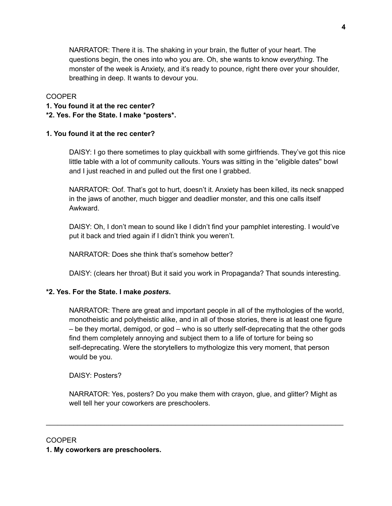NARRATOR: There it is. The shaking in your brain, the flutter of your heart. The questions begin, the ones into who you are. Oh, she wants to know *everything*. The monster of the week is Anxiety, and it's ready to pounce, right there over your shoulder, breathing in deep. It wants to devour you.

## COOPER

- **1. You found it at the rec center?**
- **\*2. Yes. For the State. I make \*posters\*.**

## **1. You found it at the rec center?**

DAISY: I go there sometimes to play quickball with some girlfriends. They've got this nice little table with a lot of community callouts. Yours was sitting in the "eligible dates'' bowl and I just reached in and pulled out the first one I grabbed.

NARRATOR: Oof. That's got to hurt, doesn't it. Anxiety has been killed, its neck snapped in the jaws of another, much bigger and deadlier monster, and this one calls itself Awkward.

DAISY: Oh, I don't mean to sound like I didn't find your pamphlet interesting. I would've put it back and tried again if I didn't think you weren't.

NARRATOR: Does she think that's somehow better?

DAISY: (clears her throat) But it said you work in Propaganda? That sounds interesting.

# **\*2. Yes. For the State. I make** *posters***.**

NARRATOR: There are great and important people in all of the mythologies of the world, monotheistic and polytheistic alike, and in all of those stories, there is at least one figure – be they mortal, demigod, or god – who is so utterly self-deprecating that the other gods find them completely annoying and subject them to a life of torture for being so self-deprecating. Were the storytellers to mythologize this very moment, that person would be you.

DAISY: Posters?

NARRATOR: Yes, posters? Do you make them with crayon, glue, and glitter? Might as well tell her your coworkers are preschoolers.

\_\_\_\_\_\_\_\_\_\_\_\_\_\_\_\_\_\_\_\_\_\_\_\_\_\_\_\_\_\_\_\_\_\_\_\_\_\_\_\_\_\_\_\_\_\_\_\_\_\_\_\_\_\_\_\_\_\_\_\_\_\_\_\_\_\_\_\_\_\_\_\_\_\_\_\_

## COOPER

**1. My coworkers are preschoolers.**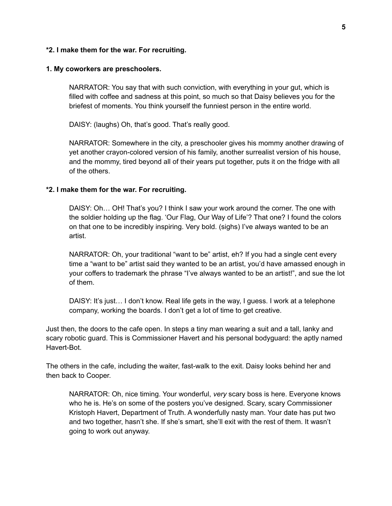## **\*2. I make them for the war. For recruiting.**

#### **1. My coworkers are preschoolers.**

NARRATOR: You say that with such conviction, with everything in your gut, which is filled with coffee and sadness at this point, so much so that Daisy believes you for the briefest of moments. You think yourself the funniest person in the entire world.

DAISY: (laughs) Oh, that's good. That's really good.

NARRATOR: Somewhere in the city, a preschooler gives his mommy another drawing of yet another crayon-colored version of his family, another surrealist version of his house, and the mommy, tired beyond all of their years put together, puts it on the fridge with all of the others.

## **\*2. I make them for the war. For recruiting.**

DAISY: Oh… OH! That's you? I think I saw your work around the corner. The one with the soldier holding up the flag. 'Our Flag, Our Way of Life'? That one? I found the colors on that one to be incredibly inspiring. Very bold. (sighs) I've always wanted to be an artist.

NARRATOR: Oh, your traditional "want to be" artist, eh? If you had a single cent every time a "want to be" artist said they wanted to be an artist, you'd have amassed enough in your coffers to trademark the phrase "I've always wanted to be an artist!", and sue the lot of them.

DAISY: It's just… I don't know. Real life gets in the way, I guess. I work at a telephone company, working the boards. I don't get a lot of time to get creative.

Just then, the doors to the cafe open. In steps a tiny man wearing a suit and a tall, lanky and scary robotic guard. This is Commissioner Havert and his personal bodyguard: the aptly named Havert-Bot.

The others in the cafe, including the waiter, fast-walk to the exit. Daisy looks behind her and then back to Cooper.

NARRATOR: Oh, nice timing. Your wonderful, *very* scary boss is here. Everyone knows who he is. He's on some of the posters you've designed. Scary, scary Commissioner Kristoph Havert, Department of Truth. A wonderfully nasty man. Your date has put two and two together, hasn't she. If she's smart, she'll exit with the rest of them. It wasn't going to work out anyway.